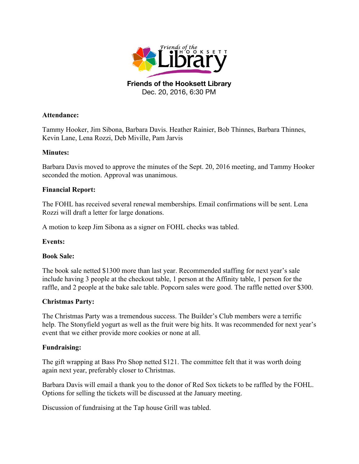

Dec. 20, 2016, 6:30 PM

## **Attendance:**

Tammy Hooker, Jim Sibona, Barbara Davis. Heather Rainier, Bob Thinnes, Barbara Thinnes, Kevin Lane, Lena Rozzi, Deb Miville, Pam Jarvis

## **Minutes:**

Barbara Davis moved to approve the minutes of the Sept. 20, 2016 meeting, and Tammy Hooker seconded the motion. Approval was unanimous.

## **Financial Report:**

The FOHL has received several renewal memberships. Email confirmations will be sent. Lena Rozzi will draft a letter for large donations.

A motion to keep Jim Sibona as a signer on FOHL checks was tabled.

# **Events:**

#### **Book Sale:**

The book sale netted \$1300 more than last year. Recommended staffing for next year's sale include having 3 people at the checkout table, 1 person at the Affinity table, 1 person for the raffle, and 2 people at the bake sale table. Popcorn sales were good. The raffle netted over \$300.

# **Christmas Party:**

The Christmas Party was a tremendous success. The Builder's Club members were a terrific help. The Stonyfield yogurt as well as the fruit were big hits. It was recommended for next year's event that we either provide more cookies or none at all.

#### **Fundraising:**

The gift wrapping at Bass Pro Shop netted \$121. The committee felt that it was worth doing again next year, preferably closer to Christmas.

Barbara Davis will email a thank you to the donor of Red Sox tickets to be raffled by the FOHL. Options for selling the tickets will be discussed at the January meeting.

Discussion of fundraising at the Tap house Grill was tabled.